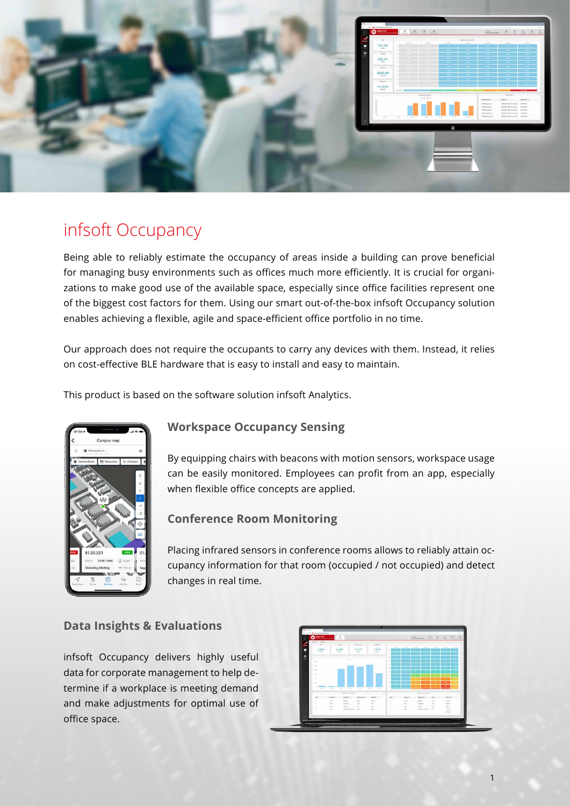

# infsoft Occupancy

Being able to reliably estimate the occupancy of areas inside a building can prove beneficial for managing busy environments such as offices much more efficiently. It is crucial for organizations to make good use of the available space, especially since office facilities represent one of the biggest cost factors for them. Using our smart out-of-the-box infsoft Occupancy solution enables achieving a flexible, agile and space-efficient office portfolio in no time.

Our approach does not require the occupants to carry any devices with them. Instead, it relies on cost-effective BLE hardware that is easy to install and easy to maintain.

This product is based on the software solution infsoft Analytics.



### **Workspace Occupancy Sensing**

By equipping chairs with beacons with motion sensors, workspace usage can be easily monitored. Employees can profit from an app, especially when flexible office concepts are applied.

#### **Conference Room Monitoring**

Placing infrared sensors in conference rooms allows to reliably attain occupancy information for that room (occupied / not occupied) and detect changes in real time.

#### **Data Insights & Evaluations**

infsoft Occupancy delivers highly useful data for corporate management to help determine if a workplace is meeting demand and make adjustments for optimal use of office space.



1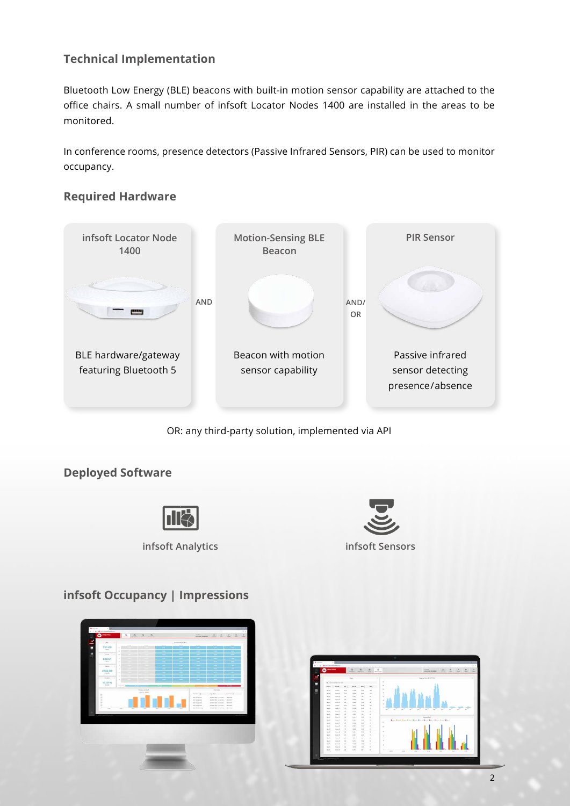## **Technical Implementation**

Bluetooth Low Energy (BLE) beacons with built-in motion sensor capability are attached to the office chairs. A small number of infsoft Locator Nodes 1400 are installed in the areas to be monitored.

In conference rooms, presence detectors (Passive Infrared Sensors, PIR) can be used to monitor occupancy.

### **Required Hardware**



OR: any third-party solution, implemented via API

## **Deployed Software**





## **infsoft Occupancy | Impressions**